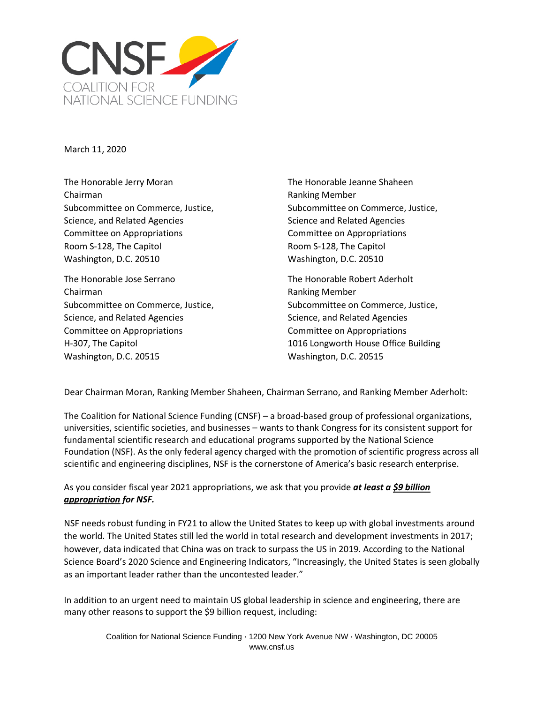

March 11, 2020

The Honorable Jerry Moran The Honorable Jeanne Shaheen Chairman **Ranking Member** Ranking Member Science, and Related Agencies Science and Related Agencies Science and Related Agencies Committee on Appropriations Committee on Appropriations Room S-128, The Capitol **Room S-128, The Capitol** Room S-128, The Capitol Washington, D.C. 20510 Washington, D.C. 20510

The Honorable Jose Serrano The Honorable Robert Aderholt Chairman **Chairman** Chairman **Ranking Member** Subcommittee on Commerce, Justice, Subcommittee on Commerce, Justice, Science, and Related Agencies **Science, and Related Agencies** Science, and Related Agencies Committee on Appropriations Committee on Appropriations Washington, D.C. 20515 Washington, D.C. 20515

Subcommittee on Commerce, Justice, Subcommittee on Commerce, Justice,

H-307, The Capitol 1016 Longworth House Office Building

Dear Chairman Moran, Ranking Member Shaheen, Chairman Serrano, and Ranking Member Aderholt:

The Coalition for National Science Funding (CNSF) – a broad-based group of professional organizations, universities, scientific societies, and businesses – wants to thank Congress for its consistent support for fundamental scientific research and educational programs supported by the National Science Foundation (NSF). As the only federal agency charged with the promotion of scientific progress across all scientific and engineering disciplines, NSF is the cornerstone of America's basic research enterprise.

## As you consider fiscal year 2021 appropriations, we ask that you provide *at least a \$9 billion appropriation for NSF.*

NSF needs robust funding in FY21 to allow the United States to keep up with global investments around the world. The United States still led the world in total research and development investments in 2017; however, data indicated that China was on track to surpass the US in 2019. According to the National Science Board's 2020 Science and Engineering Indicators, "Increasingly, the United States is seen globally as an important leader rather than the uncontested leader."

In addition to an urgent need to maintain US global leadership in science and engineering, there are many other reasons to support the \$9 billion request, including: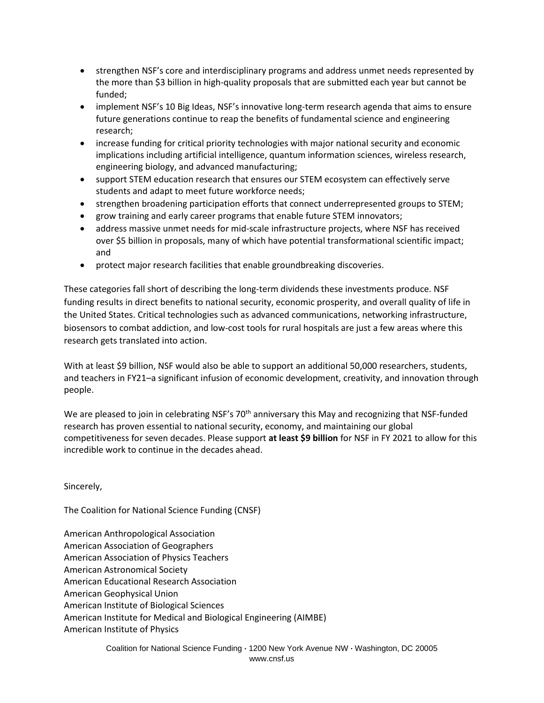- strengthen NSF's core and interdisciplinary programs and address unmet needs represented by the more than \$3 billion in high-quality proposals that are submitted each year but cannot be funded;
- implement NSF's 10 Big Ideas, NSF's innovative long-term research agenda that aims to ensure future generations continue to reap the benefits of fundamental science and engineering research;
- increase funding for critical priority technologies with major national security and economic implications including artificial intelligence, quantum information sciences, wireless research, engineering biology, and advanced manufacturing;
- support STEM education research that ensures our STEM ecosystem can effectively serve students and adapt to meet future workforce needs;
- strengthen broadening participation efforts that connect underrepresented groups to STEM;
- grow training and early career programs that enable future STEM innovators;
- address massive unmet needs for mid-scale infrastructure projects, where NSF has received over \$5 billion in proposals, many of which have potential transformational scientific impact; and
- protect major research facilities that enable groundbreaking discoveries.

These categories fall short of describing the long-term dividends these investments produce. NSF funding results in direct benefits to national security, economic prosperity, and overall quality of life in the United States. Critical technologies such as advanced communications, networking infrastructure, biosensors to combat addiction, and low-cost tools for rural hospitals are just a few areas where this research gets translated into action.

With at least \$9 billion, NSF would also be able to support an additional 50,000 researchers, students, and teachers in FY21–a significant infusion of economic development, creativity, and innovation through people.

We are pleased to join in celebrating NSF's  $70<sup>th</sup>$  anniversary this May and recognizing that NSF-funded research has proven essential to national security, economy, and maintaining our global competitiveness for seven decades. Please support **at least \$9 billion** for NSF in FY 2021 to allow for this incredible work to continue in the decades ahead.

Sincerely,

The Coalition for National Science Funding (CNSF)

American Anthropological Association American Association of Geographers American Association of Physics Teachers American Astronomical Society American Educational Research Association American Geophysical Union American Institute of Biological Sciences American Institute for Medical and Biological Engineering (AIMBE) American Institute of Physics

> Coalition for National Science Funding **·** 1200 New York Avenue NW **·** Washington, DC 20005 www.cnsf.us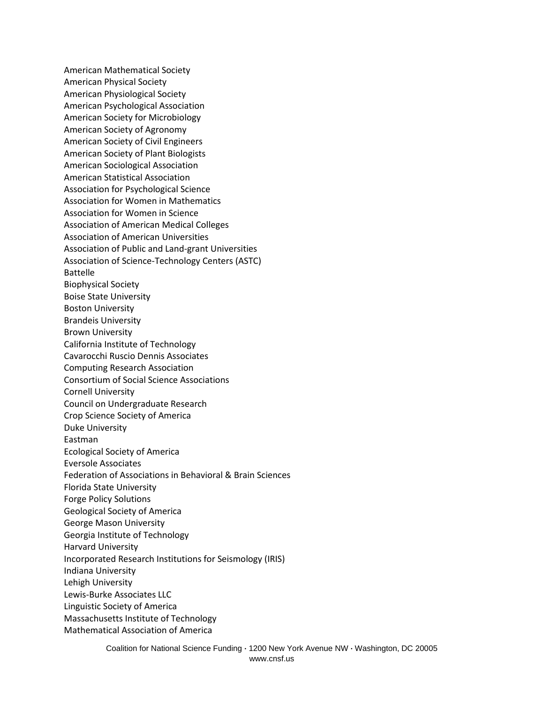American Mathematical Society American Physical Society American Physiological Society American Psychological Association American Society for Microbiology American Society of Agronomy American Society of Civil Engineers American Society of Plant Biologists American Sociological Association American Statistical Association Association for Psychological Science Association for Women in Mathematics Association for Women in Science Association of American Medical Colleges Association of American Universities Association of Public and Land-grant Universities Association of Science-Technology Centers (ASTC) Battelle Biophysical Society Boise State University Boston University Brandeis University Brown University California Institute of Technology Cavarocchi Ruscio Dennis Associates Computing Research Association Consortium of Social Science Associations Cornell University Council on Undergraduate Research Crop Science Society of America Duke University Eastman Ecological Society of America Eversole Associates Federation of Associations in Behavioral & Brain Sciences Florida State University Forge Policy Solutions Geological Society of America George Mason University Georgia Institute of Technology Harvard University Incorporated Research Institutions for Seismology (IRIS) Indiana University Lehigh University Lewis-Burke Associates LLC Linguistic Society of America Massachusetts Institute of Technology Mathematical Association of America